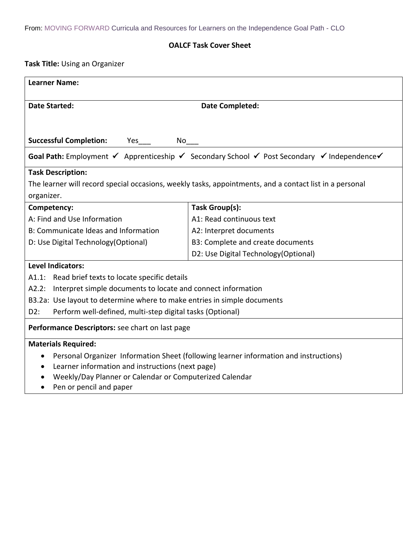## **OALCF Task Cover Sheet**

**Task Title:** Using an Organizer

| <b>Learner Name:</b>                                                                                    |                                                                                                                                                           |  |  |  |
|---------------------------------------------------------------------------------------------------------|-----------------------------------------------------------------------------------------------------------------------------------------------------------|--|--|--|
| <b>Date Started:</b>                                                                                    | <b>Date Completed:</b>                                                                                                                                    |  |  |  |
|                                                                                                         |                                                                                                                                                           |  |  |  |
| <b>Successful Completion:</b><br>Yes<br>$No$ <sub>___</sub>                                             |                                                                                                                                                           |  |  |  |
|                                                                                                         |                                                                                                                                                           |  |  |  |
|                                                                                                         | <b>Goal Path:</b> Employment $\checkmark$ Apprenticeship $\checkmark$ Secondary School $\checkmark$ Post Secondary $\checkmark$ Independence $\checkmark$ |  |  |  |
| <b>Task Description:</b>                                                                                |                                                                                                                                                           |  |  |  |
| The learner will record special occasions, weekly tasks, appointments, and a contact list in a personal |                                                                                                                                                           |  |  |  |
| organizer.                                                                                              |                                                                                                                                                           |  |  |  |
| Competency:                                                                                             | Task Group(s):                                                                                                                                            |  |  |  |
| A: Find and Use Information                                                                             | A1: Read continuous text                                                                                                                                  |  |  |  |
| B: Communicate Ideas and Information                                                                    | A2: Interpret documents                                                                                                                                   |  |  |  |
| D: Use Digital Technology (Optional)                                                                    | B3: Complete and create documents                                                                                                                         |  |  |  |
|                                                                                                         | D2: Use Digital Technology (Optional)                                                                                                                     |  |  |  |
| <b>Level Indicators:</b>                                                                                |                                                                                                                                                           |  |  |  |
| A1.1: Read brief texts to locate specific details                                                       |                                                                                                                                                           |  |  |  |
| A2.2: Interpret simple documents to locate and connect information                                      |                                                                                                                                                           |  |  |  |
| B3.2a: Use layout to determine where to make entries in simple documents                                |                                                                                                                                                           |  |  |  |
| Perform well-defined, multi-step digital tasks (Optional)<br>D2:                                        |                                                                                                                                                           |  |  |  |
| Performance Descriptors: see chart on last page                                                         |                                                                                                                                                           |  |  |  |
| <b>Materials Required:</b>                                                                              |                                                                                                                                                           |  |  |  |
| Personal Organizer Information Sheet (following learner information and instructions)<br>٠              |                                                                                                                                                           |  |  |  |
| Learner information and instructions (next page)<br>٠                                                   |                                                                                                                                                           |  |  |  |
| Weekly/Day Planner or Calendar or Computerized Calendar                                                 |                                                                                                                                                           |  |  |  |
| Pen or pencil and paper                                                                                 |                                                                                                                                                           |  |  |  |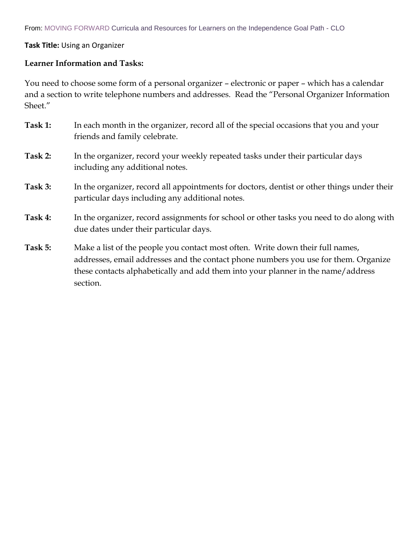## **Task Title:** Using an Organizer

## **Learner Information and Tasks:**

You need to choose some form of a personal organizer – electronic or paper – which has a calendar and a section to write telephone numbers and addresses. Read the "Personal Organizer Information Sheet."

- **Task 1:** In each month in the organizer, record all of the special occasions that you and your friends and family celebrate.
- **Task 2:** In the organizer, record your weekly repeated tasks under their particular days including any additional notes.
- **Task 3:** In the organizer, record all appointments for doctors, dentist or other things under their particular days including any additional notes.
- **Task 4:** In the organizer, record assignments for school or other tasks you need to do along with due dates under their particular days.
- **Task 5:** Make a list of the people you contact most often. Write down their full names, addresses, email addresses and the contact phone numbers you use for them. Organize these contacts alphabetically and add them into your planner in the name/address section.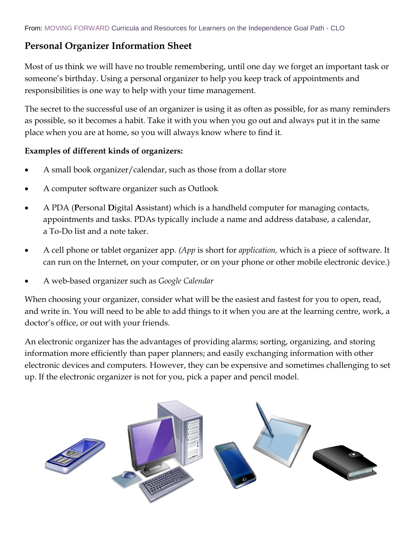# **Personal Organizer Information Sheet**

Most of us think we will have no trouble remembering, until one day we forget an important task or someone's birthday. Using a personal organizer to help you keep track of appointments and responsibilities is one way to help with your time management.

The secret to the successful use of an organizer is using it as often as possible, for as many reminders as possible, so it becomes a habit. Take it with you when you go out and always put it in the same place when you are at home, so you will always know where to find it.

## **Examples of different kinds of organizers:**

- A small book organizer/calendar, such as those from a dollar store
- A computer software organizer such as Outlook
- A PDA (**P**ersonal **D**igital **A**ssistant) which is a handheld computer for managing contacts, appointments and tasks. PDAs typically include a name and address database, a calendar, a To-Do list and a note taker.
- A cell phone or tablet organizer app. *(App* is short for *application,* which is a piece of software. It can run on the Internet, on your computer, or on your phone or other mobile electronic device.)
- A web-based organizer such as *Google Calendar*

When choosing your organizer, consider what will be the easiest and fastest for you to open, read, and write in. You will need to be able to add things to it when you are at the learning centre, work, a doctor's office, or out with your friends.

An electronic organizer has the advantages of providing alarms; sorting, organizing, and storing information more efficiently than paper planners; and easily exchanging information with other electronic devices and computers. However, they can be expensive and sometimes challenging to set up. If the electronic organizer is not for you, pick a paper and pencil model.